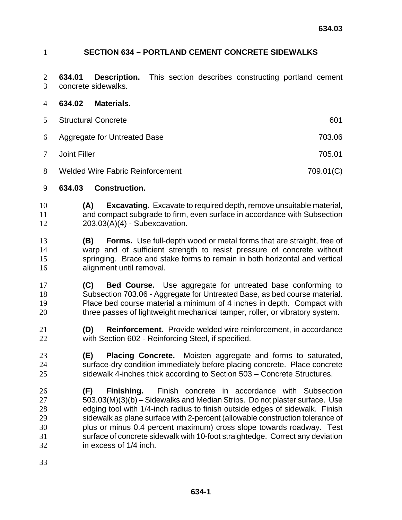## **SECTION 634 – PORTLAND CEMENT CONCRETE SIDEWALKS**

**634.01 Description.** This section describes constructing portland cement concrete sidewalks.

- **634.02 Materials.** Structural Concrete 601 Aggregate for Untreated Base 703.06 Joint Filler 705.01 8 Welded Wire Fabric Reinforcement 709.01(C)
- **634.03 Construction.**
- **(A) Excavating.** Excavate to required depth, remove unsuitable material, and compact subgrade to firm, even surface in accordance with Subsection 203.03(A)(4) - Subexcavation.
- **(B) Forms.** Use full-depth wood or metal forms that are straight, free of warp and of sufficient strength to resist pressure of concrete without springing. Brace and stake forms to remain in both horizontal and vertical alignment until removal.
- **(C) Bed Course.** Use aggregate for untreated base conforming to Subsection 703.06 - Aggregate for Untreated Base, as bed course material. Place bed course material a minimum of 4 inches in depth. Compact with three passes of lightweight mechanical tamper, roller, or vibratory system.
- **(D) Reinforcement.** Provide welded wire reinforcement, in accordance with Section 602 - Reinforcing Steel, if specified.
- **(E) Placing Concrete.** Moisten aggregate and forms to saturated, surface-dry condition immediately before placing concrete. Place concrete sidewalk 4-inches thick according to Section 503 – Concrete Structures.
- **(F) Finishing.** Finish concrete in accordance with Subsection 503.03(M)(3)(b) – Sidewalks and Median Strips. Do not plaster surface. Use edging tool with 1/4-inch radius to finish outside edges of sidewalk. Finish sidewalk as plane surface with 2-percent (allowable construction tolerance of plus or minus 0.4 percent maximum) cross slope towards roadway. Test surface of concrete sidewalk with 10-foot straightedge. Correct any deviation in excess of 1/4 inch.
-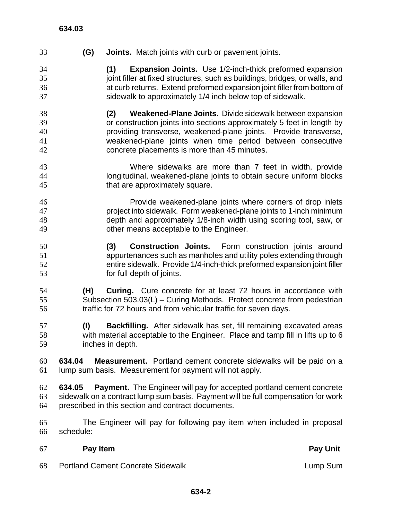**(G) Joints.** Match joints with curb or pavement joints. **(1) Expansion Joints.** Use 1/2-inch-thick preformed expansion 35 joint filler at fixed structures, such as buildings, bridges, or walls, and at curb returns. Extend preformed expansion joint filler from bottom of sidewalk to approximately 1/4 inch below top of sidewalk. **(2) Weakened-Plane Joints.** Divide sidewalk between expansion or construction joints into sections approximately 5 feet in length by providing transverse, weakened-plane joints. Provide transverse, weakened-plane joints when time period between consecutive concrete placements is more than 45 minutes. Where sidewalks are more than 7 feet in width, provide longitudinal, weakened-plane joints to obtain secure uniform blocks that are approximately square. Provide weakened-plane joints where corners of drop inlets project into sidewalk. Form weakened-plane joints to 1-inch minimum depth and approximately 1/8-inch width using scoring tool, saw, or other means acceptable to the Engineer. **(3) Construction Joints.** Form construction joints around appurtenances such as manholes and utility poles extending through entire sidewalk. Provide 1/4-inch-thick preformed expansion joint filler for full depth of joints. **(H) Curing.** Cure concrete for at least 72 hours in accordance with Subsection 503.03(L) – Curing Methods. Protect concrete from pedestrian traffic for 72 hours and from vehicular traffic for seven days. **(I) Backfilling.** After sidewalk has set, fill remaining excavated areas with material acceptable to the Engineer. Place and tamp fill in lifts up to 6 inches in depth. **634.04 Measurement.** Portland cement concrete sidewalks will be paid on a lump sum basis. Measurement for payment will not apply. **634.05 Payment.** The Engineer will pay for accepted portland cement concrete sidewalk on a contract lump sum basis. Payment will be full compensation for work prescribed in this section and contract documents. The Engineer will pay for following pay item when included in proposal schedule:

68 Portland Cement Concrete Sidewalk **Lump Sum** Lump Sum